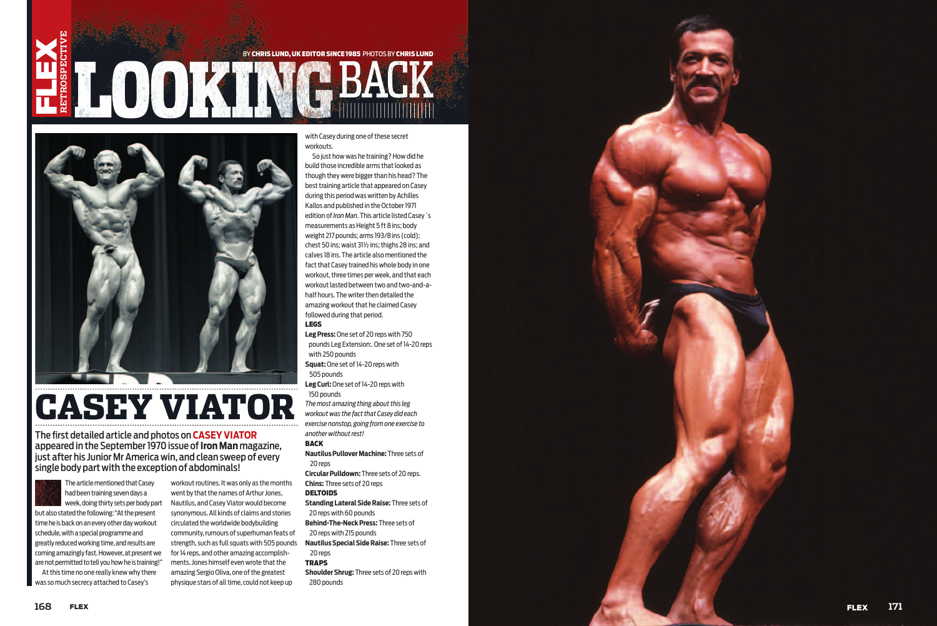## **RETROSPECTIVE** BY CHRIS LUND, UK EDITOR SINCE 1985 PHOTOS BY CHRIS LUND **IHOOKINGBAC**



# CASEY VIATOR

The article mentioned that Casey had been training seven days a week, doing thirty sets per body part

but also stated the following: "At the present time he is back on an every other day workout schedule, with a special programme and greatly reduced working time, and results are coming amazingly fast. However, at present we are not permitted to tell you how he is training!"

At this time no one really knew why there was so much secrecy attached to Casey's

workout routines. It was only as the months went by that the names of Arthur Jones, Nautilus, and Casey Viator would become synonymous. All kinds of claims and stories circulated the worldwide bodybuilding community, rumours of superhuman feats of strength, such as full squats with 505 pounds for 14 reps, and other amazing accomplishments. Jones himself even wrote that the amazing Sergio Oliva, one of the greatest physique stars of all time, could not keep up

Leg Press: One set of 20 reps with 750 pounds Leg Extension:. One set of 14-20 reps with 250 pounds

Leg Curl: One set of 14-20 reps with 150 pounds

with Casey during one of these secret workouts.

The first detailed article and photos on **CASEY VIATOR** appeared in the September 1970 issue of **Iron Man** magazine, just after his Junior Mr America win, and clean sweep of every single body part with the exception of abdominals!



So just how was he training? How did he build those incredible arms that looked as though they were bigger than his head? The best training article that appeared on Casey during this period was written by Achilles Kallos and published in the October 1971 edition of *Iron Man*. This article listed Casey´s measurements as Height 5 ft 8 ins; body weight 217 pounds; arms 193/8 ins (cold); chest 50 ins; waist 31½ ins; thighs 28 ins; and calves 18 ins. The article also mentioned the fact that Casey trained his whole body in one workout, three times per week, and that each workout lasted between two and two-and-ahalf hours. The writer then detailed the amazing workout that he claimed Casey followed during that period.

LEGS

**S quat:** One set of 14-20 reps with 505 pounds

*The most amazing thing about this leg workout was the fact that Casey did each exercise nonstop, going from one exercise to another without rest!*

### BACK

**N autilus Pullover Machine:** Three sets of 20 reps

**C ircular Pulldown:** Three sets of 20 reps. **Chins:** Three sets of 20 reps

#### DELTOIDS

**S tanding Lateral Side Raise:** Three sets of 20 reps with 60 pounds

**B ehind-The-Neck Press:** Three sets of 20 reps with 215 pounds

**N autilus Special Side Raise:** Three sets of 20 reps

#### **TRAPS**

**S houlder Shrug:** Three sets of 20 reps with 280 pounds

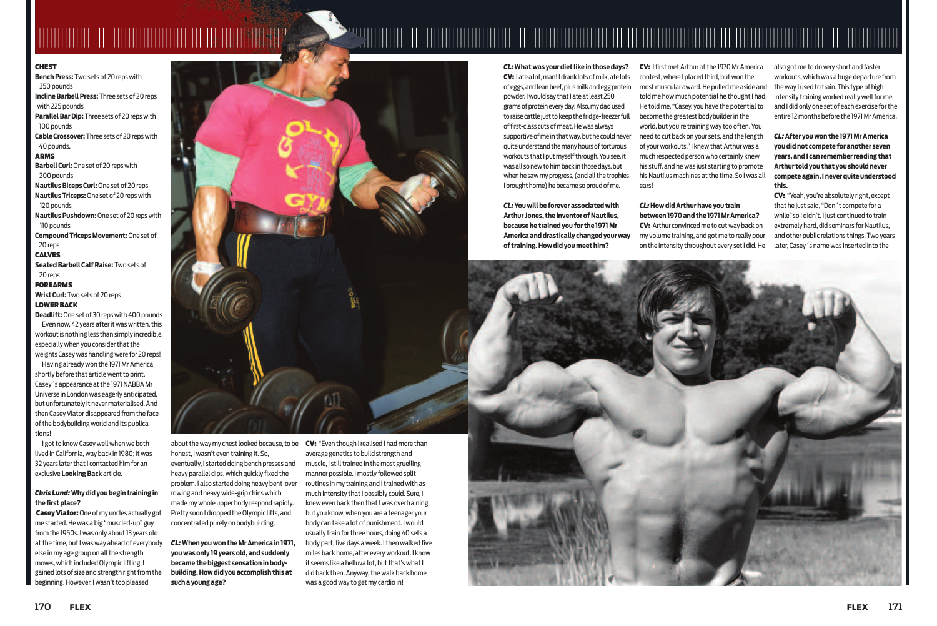#### **CHEST**

**B ench Press:** Two sets of 20 reps with 350 pounds **I ncline Barbell Press:** Three sets of 20 reps with 225 pounds **Parallel Bar Dip:** Three sets of 20 reps with 100 pounds **C able Crossover:** Three sets of 20 reps with 40 pounds. ARMS **B arbell Curl:** One set of 20 reps with 200 pounds **Nautilus Biceps Curl:** One set of 20 reps **Nautilus Triceps:** One set of 20 reps with 120 pounds **Nautilus Pushdown:** One set of 20 reps with 110 pounds **C ompound Triceps Movement:** One set of 20 reps **CALVES Seated Barbell Calf Raise: Two sets of** 20 reps FOREARMS **Wrist Curl:** Two sets of 20 reps LOWER BACK **Deadlift:** One set of 30 reps with 400 pounds Even now, 42 years after it was written, this workout is nothing less than simply incredible, especially when you consider that the

#### *Chris Lund:* **Why did you begin training in**  the first place?

**Casey Viator:** One of my uncles actually got me started. He was a big "muscled-up" guy from the 1950s. I was only about 13 years old at the time, but I was way ahead of everybody else in my age group on all the strength moves, which included Olympic lifting. I gained lots of size and strength right from the beginning. However, I wasn't too pleased



weights Casey was handling were for 20 reps! Having already won the 1971 Mr America shortly before that article went to print, Casey´s appearance at the 1971 NABBA Mr Universe in London was eagerly anticipated, but unfortunately it never materialised. And then Casey Viator disappeared from the face of the bodybuilding world and its publications!

I got to know Casey well when we both lived in California, way back in 1980; it was 32 years later that I contacted him for an exclusive **Looking Back** article.

about the way my chest looked because, to be CV: "Even though I realised I had more than honest, I wasn't even training it. So, eventually, I started doing bench presses and heavy parallel dips, which quickly fixed the problem. I also started doing heavy bent-over rowing and heavy wide-grip chins which made my whole upper body respond rapidly. Pretty soon I dropped the Olympic lifts, and concentrated purely on bodybuilding.

CV: I first met Arthur at the 1970 Mr America contest, where I placed third, but won the most muscular award. He pulled me aside and told me how much potential he thought I had. He told me, "Casey, you have the potential to become the greatest bodybuilder in the world, but you're training way too often. You need to cut back on your sets, and the length of your workouts." I knew that Arthur was a much respected person who certainly knew his stuff, and he was just starting to promote his Nautilus machines at the time. So I was all ears!

*CL:* **What was your diet like in those days?** CV: I ate a lot, man! I drank lots of milk, ate lots of eggs, and lean beef, plus milk and egg protein powder. I would say that I ate at least 250 grams of protein every day. Also, my dad used to raise cattle just to keep the fridge-freezer full of first-class cuts of meat. He was always supportive of me in that way, but he could never quite understand the many hours of torturous workouts that I put myself through. You see, it was all so new to him back in those days, but when he saw my progress, (and all the trophies I brought home) he became so proud of me.

*CL:* **You will be forever associated with Arthur Jones, the inventor of Nautilus, because he trained you for the 1971 Mr America and drastically changed your way of training. How did you meet him?**

*CL:* **When you won the Mr America in 1971, you was only 19 years old, and suddenly became the biggest sensation in bodybuilding. How did you accomplish this at such a young age?**

*CL:* **How did Arthur have you train between 1970 and the 1971 Mr America?** CV: Arthur convinced me to cut way back on my volume training, and got me to really pour on the intensity throughout every set I did. He



average genetics to build strength and muscle, I still trained in the most gruelling manner possible. I mostly followed split routines in my training and I trained with as much intensity that I possibly could. Sure, I knew even back then that I was overtraining, but you know, when you are a teenager your body can take a lot of punishment. I would usually train for three hours, doing 40 sets a body part, five days a week. I then walked five miles back home, after every workout. I know it seems like a helluva lot, but that's what I did back then. Anyway, the walk back home was a good way to get my cardio in!

also got me to do very short and faster workouts, which was a huge departure from the way I used to train. This type of high intensity training worked really well for me, and I did only one set of each exercise for the entire 12 months before the 1971 Mr America.

*CL:* **After you won the 1971 Mr America you did not compete for another seven years, and I can remember reading that Arthur told you that you should never compete again. I never quite understood this.**

CV: "Yeah, you're absolutely right, except that he just said, "Don´t compete for a while" so I didn't. I just continued to train extremely hard, did seminars for Nautilus, and other public relations things. Two years later, Casey´s name was inserted into the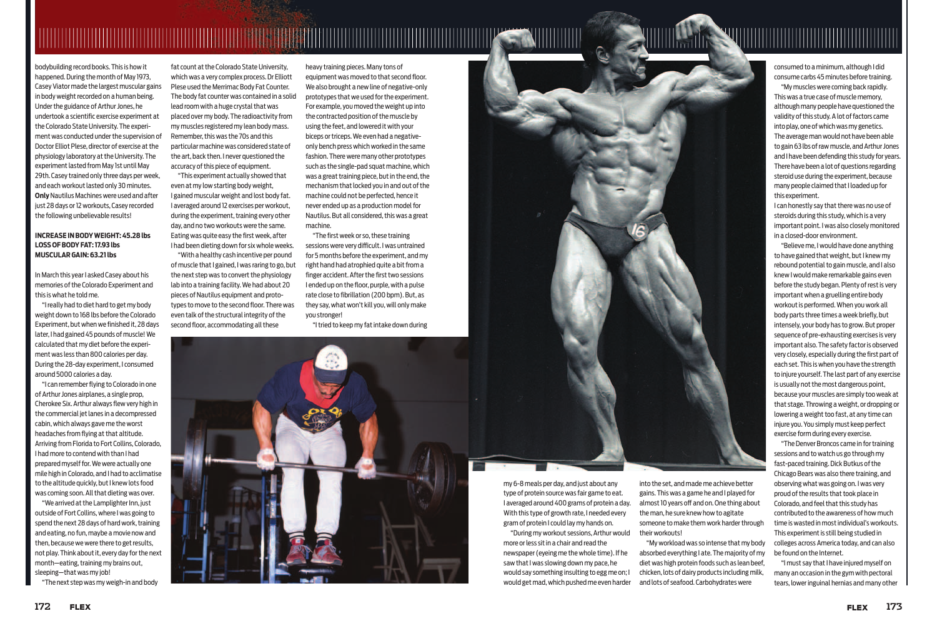

bodybuilding record books. This is how it happened. During the month of May 1973, Casey Viator made the largest muscular gains in body weight recorded on a human being. Under the guidance of Arthur Jones, he undertook a scientific exercise experiment at the Colorado State University. The experiment was conducted under the supervision of Doctor Elliot Plese, director of exercise at the physiology laboratory at the University. The experiment lasted from May 1st until May 29th. Casey trained only three days per week, and each workout lasted only 30 minutes. **Only** Nautilus Machines were used and after just 28 days or 12 workouts, Casey recorded the following unbelievable results!

#### **INCREASE IN BODY WEIGHT: 45.28 lbs LOSS OF BODY FAT: 17.93 lbs MUSCULAR GAIN: 63.21 lbs**

In March this year I asked Casey about his memories of the Colorado Experiment and this is what he told me.

"I really had to diet hard to get my body weight down to 168 lbs before the Colorado Experiment, but when we finished it, 28 days later, I had gained 45 pounds of muscle! We calculated that my diet before the experiment was less than 800 calories per day. During the 28-day experiment, I consumed around 5000 calories a day.

"I can remember fl ying to Colorado in one of Arthur Jones airplanes, a single prop, Cherokee Six. Arthur always flew very high in the commercial jet lanes in a decompressed cabin, which always gave me the worst headaches from flying at that altitude. Arriving from Florida to Fort Collins, Colorado, I had more to contend with than I had prepared myself for. We were actually one mile high in Colorado, and I had to acclimatise to the altitude quickly, but I knew lots food was coming soon. All that dieting was over.

"With a healthy cash incentive per pound of muscle that I gained, I was raring to go, but the next step was to convert the physiology lab into a training facility. We had about 20 pieces of Nautilus equipment and prototypes to move to the second floor. There was even talk of the structural integrity of the second floor, accommodating all these

"We arrived at the Lamplighter Inn, just outside of Fort Collins, where I was going to spend the next 28 days of hard work, training and eating, no fun, maybe a movie now and then, because we were there to get results, not play. Think about it, every day for the next month—eating, training my brains out, sleeping—that was my job!

"The next step was my weigh-in and body

my 6-8 meals per day, and just about any type of protein source was fair game to eat. I averaged around 400 grams of protein a day. With this type of growth rate, I needed every gram of protein I could lay my hands on.

"During my workout sessions, Arthur would more or less sit in a chair and read the newspaper (eyeing me the whole time). If he saw that I was slowing down my pace, he would say something insulting to egg me on; I would get mad, which pushed me even harder

"The first week or so, these training sessions were very difficult. I was untrained for 5 months before the experiment, and my right hand had atrophied quite a bit from a finger accident. After the first two sessions I ended up on the floor, purple, with a pulse rate close to fibrillation (200 bpm). But, as they say, what won't kill you, will only make you stronger!

fat count at the Colorado State University, which was a very complex process. Dr Elliott Plese used the Merrimac Body Fat Counter. The body fat counter was contained in a solid lead room with a huge crystal that was placed over my body. The radioactivity from my muscles registered my lean body mass. Remember, this was the 70s and this particular machine was considered state of the art, back then. I never questioned the accuracy of this piece of equipment.

"This experiment actually showed that even at my low starting body weight, I gained muscular weight and lost body fat. I averaged around 12 exercises per workout, during the experiment, training every other day, and no two workouts were the same. Eating was quite easy the first week, after I had been dieting down for six whole weeks.

> into the set, and made me achieve better gains. This was a game he and I played for almost 10 years off and on. One thing about the man, he sure knew how to agitate someone to make them work harder through their workouts!

> "My workload was so intense that my body absorbed everything I ate. The majority of my diet was high protein foods such as lean beef, chicken, lots of dairy products including milk, and lots of seafood. Carbohydrates were

heavy training pieces. Many tons of equipment was moved to that second floor. We also brought a new line of negative-only prototypes that we used for the experiment. For example, you moved the weight up into the contracted position of the muscle by using the feet, and lowered it with your biceps or triceps. We even had a negativeonly bench press which worked in the same fashion. There were many other prototypes such as the single-pad squat machine, which was a great training piece, but in the end, the mechanism that locked you in and out of the machine could not be perfected, hence it never ended up as a production model for Nautilus. But all considered, this was a great machine.

"I tried to keep my fat intake down during



consumed to a minimum, although I did consume carbs 45 minutes before training.

"My muscles were coming back rapidly. This was a true case of muscle memory, although many people have questioned the validity of this study. A lot of factors came into play, one of which was my genetics. The average man would not have been able to gain 63 lbs of raw muscle, and Arthur Jones and I have been defending this study for years. There have been a lot of questions regarding steroid use during the experiment, because many people claimed that I loaded up for this experiment.

I can honestly say that there was no use of steroids during this study, which is a very important point. I was also closely monitored in a closed-door environment.

"Believe me, I would have done anything to have gained that weight, but I knew my rebound potential to gain muscle, and I also knew I would make remarkable gains even before the study began. Plenty of rest is very important when a gruelling entire body workout is performed. When you work all body parts three times a week briefly, but intensely, your body has to grow. But proper sequence of pre-exhausting exercises is very important also. The safety factor is observed very closely, especially during the first part of each set. This is when you have the strength to injure yourself. The last part of any exercise is usually not the most dangerous point, because your muscles are simply too weak at that stage. Throwing a weight, or dropping or lowering a weight too fast, at any time can injure you. You simply must keep perfect exercise form during every exercise.



"The Denver Broncos came in for training sessions and to watch us go through my fast-paced training. Dick Butkus of the Chicago Bears was also there training, and observing what was going on. I was very proud of the results that took place in Colorado, and feel that this study has contributed to the awareness of how much time is wasted in most individual's workouts. This experiment is still being studied in colleges across America today, and can also be found on the Internet.

"I must say that I have injured myself on many an occasion in the gym with pectoral tears, lower inguinal hernias and many other